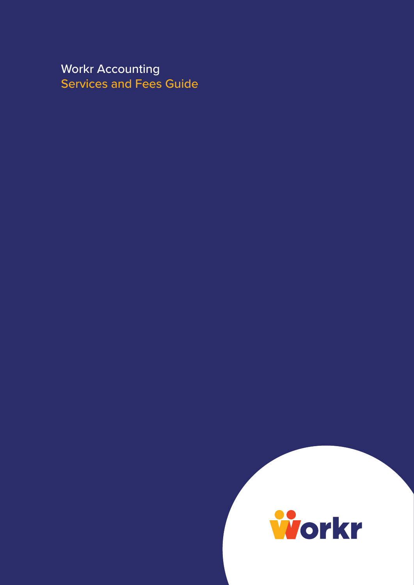Workr Accounting Services and Fees Guide

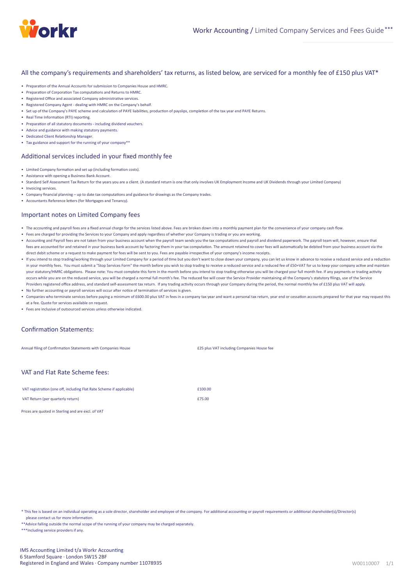

All the company's requirements and shareholders' tax returns, as listed below, are serviced for a monthly fee of £150 plus VAT<sup>\*</sup>

- Preparation of the Annual Accounts for submission to Companies House and HMRC.
- Preparation of Corporation Tax computations and Returns to HMRC.
- Registered Office and associated Company administrative services
- Registered Company Agent dealing with HMRC on the Company's behalf.
- Set up of the Company's PAYE scheme and calculation of PAYE liabilities, production of payslips, completion of the tax year end PAYE Returns.
- Real Time Information (RTI) reporting.
- Preparation of all statutory documents including dividend vouchers.
- Advice and guidance with making statutory payments.
- Dedicated Client Relationship Manager.
- Tax guidance and support for the running of your company\*\*

#### Additional services included in your fixed monthly fee

- Limited Company formation and set up (including formation costs).
- Assistance with opening a Business Bank Account.
- Standard Self Assessment Tax Return for the years you are a client. (A standard return is one that only involves UK Employment Income and UK Dividends through your Limited Company)
- Invoicing services.
- Company financial planning up to date tax computations and guidance for drawings as the Company trades.
- Accountants Reference letters (for Mortgages and Tenancy).

### Important notes on Limited Company fees

- The accounting and payroll fees are a fixed annual charge for the services listed above. Fees are broken down into a monthly payment plan for the convenience of your company cash flow.
- Fees are charged for providing the Services to your Company and apply regardless of whether your Company is trading or you are working.
- Accoun�ng and Payroll fees are not taken from your business account when the payroll team sends you the tax computa�ons and payroll and dividend paperwork. The payroll team will, however, ensure that fees are accounted for and retained in your business bank account by factoring them in your tax computation. The amount retained to cover fees will automatically be debited from your business account via the direct debit scheme or a request to make payment for fees will be sent to you. Fees are payable irrespective of your company's income receipts.
- If you intend to stop trading/working through your Limited Company for a period of time but you don't want to close down your company, you can let us know in advance to receive a reduced service and a reduction in your monthly fees. You must submit a "Stop Services Form" the month before you wish to stop trading to receive a reduced service and a reduced fee of £50+VAT for us to keep your company active and maintain your statutory/HMRC obligations. Please note: You must complete this form in the month before you intend to stop trading otherwise you will be charged your full month fee. If any payments or trading activity occurs while you are on the reduced service, you will be charged a normal full month's fee. The reduced fee will cover the Service Provider maintaining all the Company's statutory filings, use of the Service Providers registered office address, and standard self-assessment tax return. If any trading activity occurs through your Company during the period, the normal monthly fee of £150 plus VAT will apply.
- No further accounting or payroll services will occur after notice of termination of services is given.
- Companies who terminate services before paying a minimum of £600.00 plus VAT in fees in a company tax year and want a personal tax return, year end or cessation accounts prepared for that year may request this at a fee. Quote for services available on request.
- Fees are inclusive of outsourced services unless otherwise indicated.

#### Confirmation Statements:

Annual filing of Confirmation Statements with Companies House **2008 2008 2008 2008 2008 2008 2008 2008 2008 2008 2008 2008 2008 2008 2008 2008 2008 2008 2008 2008 2008 2008 2008** 

#### VAT and Flat Rate Scheme fees:

| VAT registration (one off, including Flat Rate Scheme if applicable) | £100.00 |
|----------------------------------------------------------------------|---------|
| VAT Return (per quarterly return)                                    | £75.00  |

Prices are quoted in Sterling and are excl. of VAT

\* This fee is based on an individual operating as a sole director, shareholder and employee of the company. For additional accounting or payroll requirements or additional shareholder(s)/Director(s) please contact us for more information

\*\*Advice falling outside the normal scope of the running of your company may be charged separately.

\*\*\*Including service providers if any.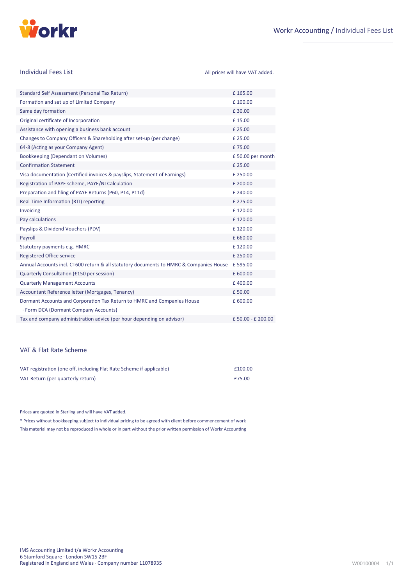

| <b>Individual Fees List</b>                                                                                      | All prices will have VAT added. |
|------------------------------------------------------------------------------------------------------------------|---------------------------------|
| Standard Self Assessment (Personal Tax Return)                                                                   | £165.00                         |
| Formation and set up of Limited Company                                                                          | £100.00                         |
| Same day formation                                                                                               | £30.00                          |
| Original certificate of Incorporation                                                                            | £15.00                          |
| Assistance with opening a business bank account                                                                  | £ 25.00                         |
| Changes to Company Officers & Shareholding after set-up (per change)                                             | £ 25.00                         |
| 64-8 (Acting as your Company Agent)                                                                              | £75.00                          |
| Bookkeeping (Dependant on Volumes)                                                                               | £50.00 per month                |
| <b>Confirmation Statement</b>                                                                                    | £ 25.00                         |
| Visa documentation (Certified invoices & payslips, Statement of Earnings)                                        | £250.00                         |
| Registration of PAYE scheme, PAYE/NI Calculation                                                                 | £ 200.00                        |
| Preparation and filing of PAYE Returns (P60, P14, P11d)                                                          | £ 240.00                        |
| Real Time Information (RTI) reporting                                                                            | £ 275.00                        |
| Invoicing                                                                                                        | £120.00                         |
| Pay calculations                                                                                                 | £120.00                         |
| Payslips & Dividend Vouchers (PDV)                                                                               | £120.00                         |
| Payroll                                                                                                          | £660.00                         |
| Statutory payments e.g. HMRC                                                                                     | £120.00                         |
| <b>Registered Office service</b>                                                                                 | £250.00                         |
| Annual Accounts incl. CT600 return & all statutory documents to HMRC & Companies House                           | £595.00                         |
| Quarterly Consultation (£150 per session)                                                                        | £600.00                         |
| <b>Quarterly Management Accounts</b>                                                                             | £400.00                         |
| Accountant Reference letter (Mortgages, Tenancy)                                                                 | £50.00                          |
| Dormant Accounts and Corporation Tax Return to HMRC and Companies House<br>· Form DCA (Dormant Company Accounts) | £600.00                         |
| Tax and company administration advice (per hour depending on advisor)                                            | £50.00 - £200.00                |

## VAT & Flat Rate Scheme

| VAT registration (one off, including Flat Rate Scheme if applicable) | £100.00 |
|----------------------------------------------------------------------|---------|
| VAT Return (per quarterly return)                                    | £75.00  |

Prices are quoted in Sterling and will have VAT added.

This material may not be reproduced in whole or in part without the prior written permission of Workr Accounting \* Prices without bookkeeping subject to individual pricing to be agreed with client before commencement of work